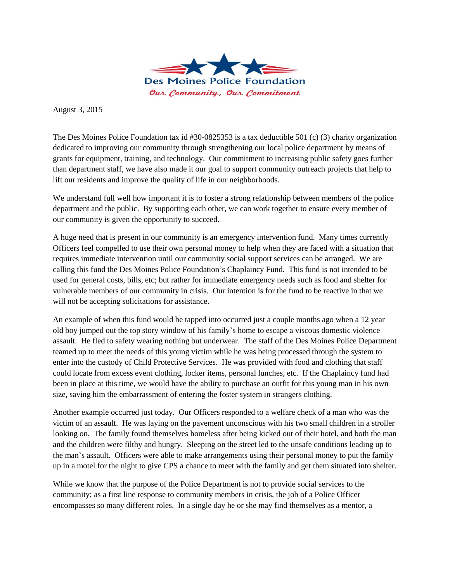

August 3, 2015

The Des Moines Police Foundation tax id #30-0825353 is a tax deductible 501 (c) (3) charity organization dedicated to improving our community through strengthening our local police department by means of grants for equipment, training, and technology. Our commitment to increasing public safety goes further than department staff, we have also made it our goal to support community outreach projects that help to lift our residents and improve the quality of life in our neighborhoods.

We understand full well how important it is to foster a strong relationship between members of the police department and the public. By supporting each other, we can work together to ensure every member of our community is given the opportunity to succeed.

A huge need that is present in our community is an emergency intervention fund. Many times currently Officers feel compelled to use their own personal money to help when they are faced with a situation that requires immediate intervention until our community social support services can be arranged. We are calling this fund the Des Moines Police Foundation's Chaplaincy Fund. This fund is not intended to be used for general costs, bills, etc; but rather for immediate emergency needs such as food and shelter for vulnerable members of our community in crisis. Our intention is for the fund to be reactive in that we will not be accepting solicitations for assistance.

An example of when this fund would be tapped into occurred just a couple months ago when a 12 year old boy jumped out the top story window of his family's home to escape a viscous domestic violence assault. He fled to safety wearing nothing but underwear. The staff of the Des Moines Police Department teamed up to meet the needs of this young victim while he was being processed through the system to enter into the custody of Child Protective Services. He was provided with food and clothing that staff could locate from excess event clothing, locker items, personal lunches, etc. If the Chaplaincy fund had been in place at this time, we would have the ability to purchase an outfit for this young man in his own size, saving him the embarrassment of entering the foster system in strangers clothing.

Another example occurred just today. Our Officers responded to a welfare check of a man who was the victim of an assault. He was laying on the pavement unconscious with his two small children in a stroller looking on. The family found themselves homeless after being kicked out of their hotel, and both the man and the children were filthy and hungry. Sleeping on the street led to the unsafe conditions leading up to the man's assault. Officers were able to make arrangements using their personal money to put the family up in a motel for the night to give CPS a chance to meet with the family and get them situated into shelter.

While we know that the purpose of the Police Department is not to provide social services to the community; as a first line response to community members in crisis, the job of a Police Officer encompasses so many different roles. In a single day he or she may find themselves as a mentor, a